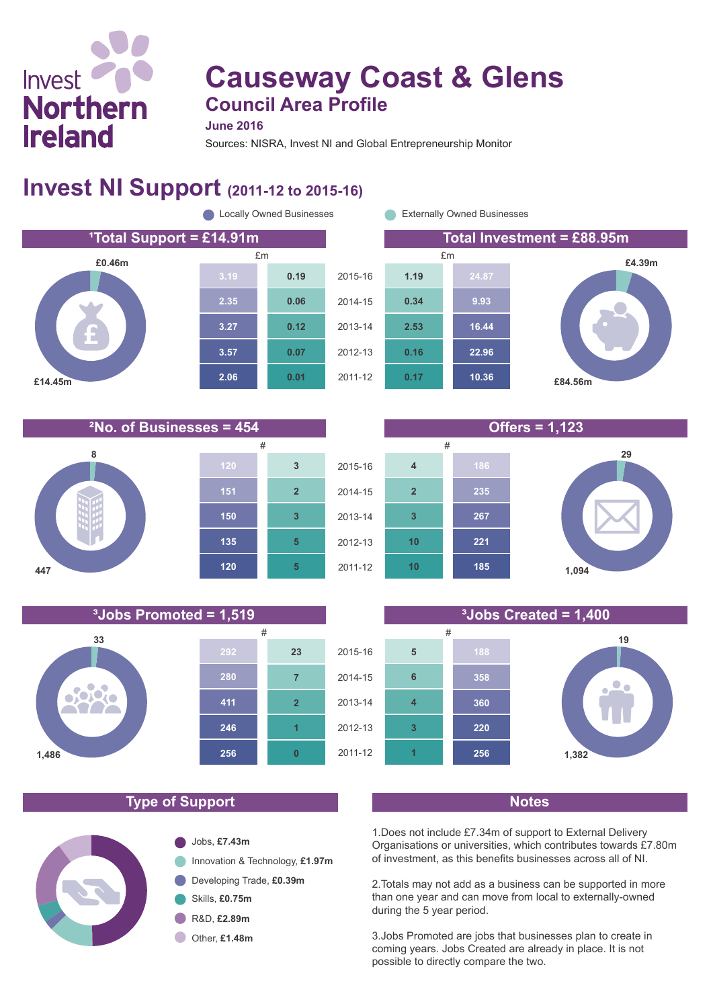# Invest **Northern Ireland**

# **Causeway Coast & Glens Council Area Profile**

**June 2016**

Sources: NISRA, Invest NI and Global Entrepreneurship Monitor

#### **Invest NI Support (2011-12 to 2015-16)**

**¹Total Support = £14.91m Total Investment = £88.95m £0.46m £14.45m 2.06 3.57 3.27 2.35 0.01 0.07 0.12 0.06 0.19 C** Locally Owned Businesses **Externally Owned Businesses** 

**10.36 22.96 16.44 9.93 24.87 0.17 0.16 2.53 0.34 1.19** 2015-16 2014-15 2013-14 2012-13 2011-12 £m £m

**10**

**10**

**3**

**2**

**4**

2015-16

2014-15

2013-14

2012-13

2011-12

**£4.39m**

**²No. of Businesses = 454 Offers = 1,123**





#### 2015-16 2014-15 2013-14 2012-13 2011-12 **19 1,382 256 220 360 358 188 1 3 4 6 5** # #

**185**

**221**

#### **Type of Support Notes**

**1,486**



1.Does not include £7.34m of support to External Delivery Organisations or universities, which contributes towards £7.80m of investment, as this benefits businesses across all of NI.

2.Totals may not add as a business can be supported in more than one year and can move from local to externally-owned during the 5 year period.

3.Jobs Promoted are jobs that businesses plan to create in coming years. Jobs Created are already in place. It is not possible to directly compare the two.



**1,094**

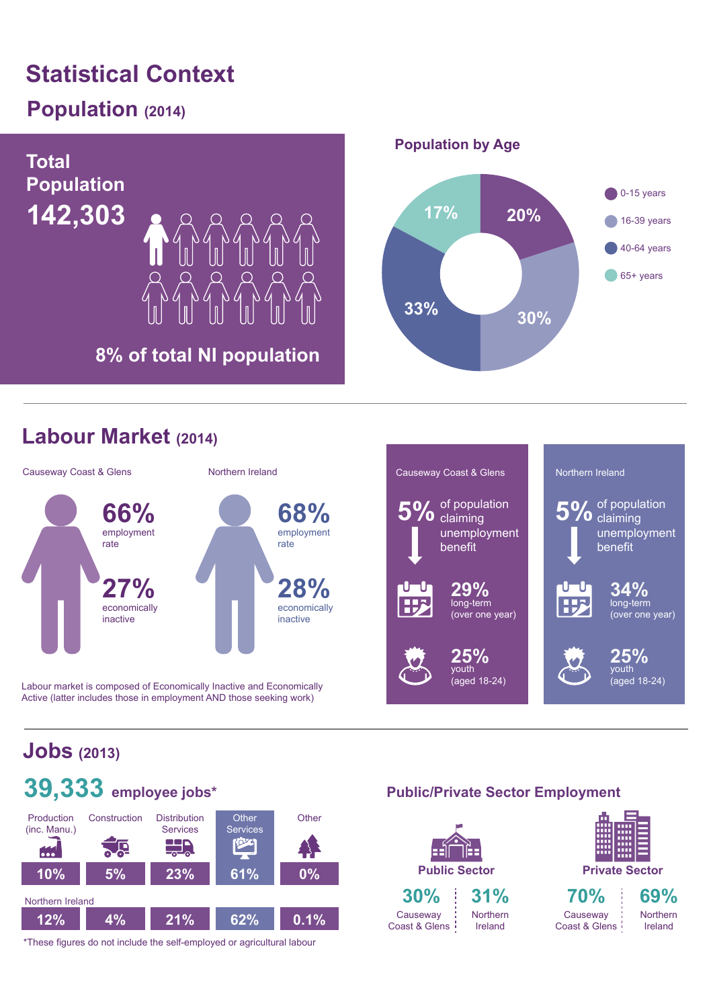# **Statistical Context**

## **Population (2014)**



#### **Labour Market (2014)**



Labour market is composed of Economically Inactive and Economically Active (latter includes those in employment AND those seeking work)



## **Jobs (2013)**



\*These figures do not include the self-employed or agricultural labour

#### **Public/Private Sector Employment**

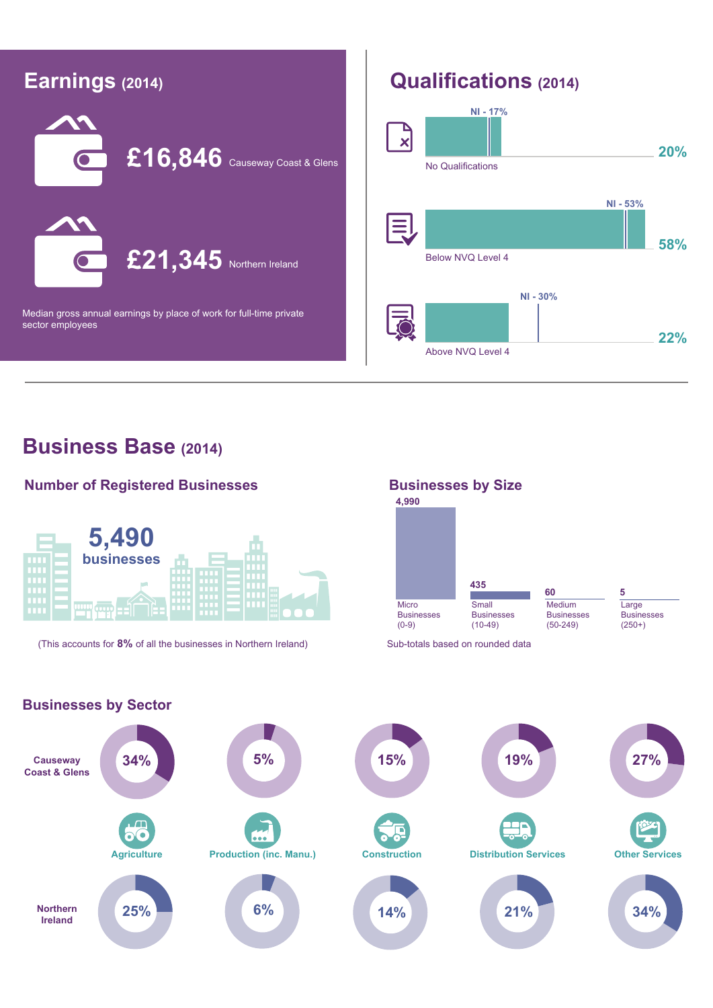

#### **Business Base (2014)**

**Businesses by Sector**

#### **Number of Registered Businesses**



(This accounts for 8% of all the businesses in Northern Ireland) Sub-totals based on rounded data



**Causeway 34% 5% 15% 19% 27% Coast & Glens**  $\bullet$ ... **Agriculture Production (inc. Manu.) Construction Distribution Services Other Services Northern 25% 6% 14% 21% 34% Ireland**